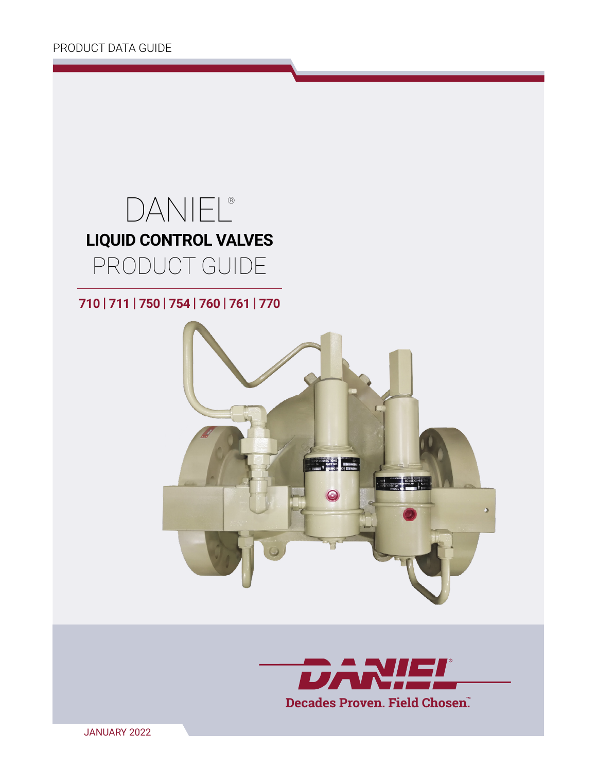# DANIEL® **LIQUID CONTROL VALVES**  PRODUCT GUIDE

**710 | 711 | 750 | 754 | 760 | 761 | 770**



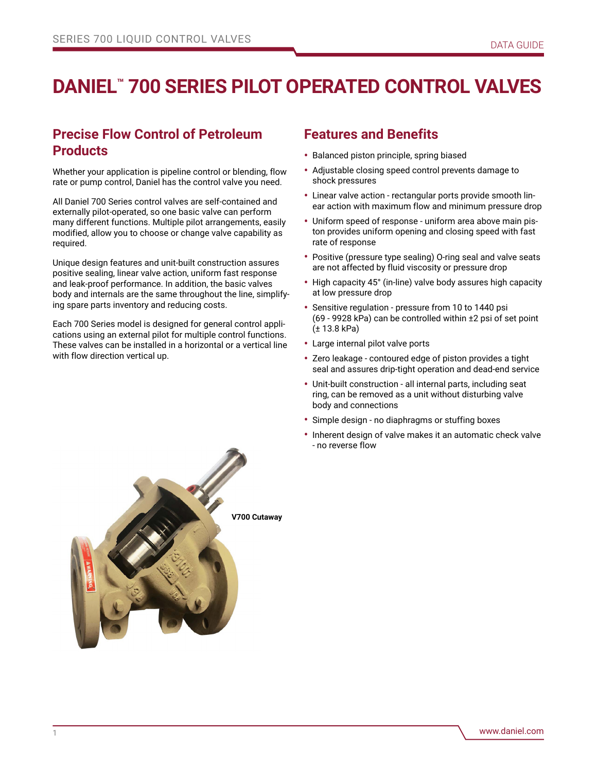## **DANIEL™ 700 SERIES PILOT OPERATED CONTROL VALVES**

## **Precise Flow Control of Petroleum Products**

Whether your application is pipeline control or blending, flow rate or pump control, Daniel has the control valve you need.

All Daniel 700 Series control valves are self-contained and externally pilot-operated, so one basic valve can perform many different functions. Multiple pilot arrangements, easily modified, allow you to choose or change valve capability as required.

Unique design features and unit-built construction assures positive sealing, linear valve action, uniform fast response and leak-proof performance. In addition, the basic valves body and internals are the same throughout the line, simplifying spare parts inventory and reducing costs.

Each 700 Series model is designed for general control applications using an external pilot for multiple control functions. These valves can be installed in a horizontal or a vertical line with flow direction vertical up.

### **Features and Benefits**

- Balanced piston principle, spring biased
- Adjustable closing speed control prevents damage to shock pressures
- Linear valve action rectangular ports provide smooth linear action with maximum flow and minimum pressure drop
- Uniform speed of response uniform area above main piston provides uniform opening and closing speed with fast rate of response
- Positive (pressure type sealing) O-ring seal and valve seats are not affected by fluid viscosity or pressure drop
- High capacity 45° (in-line) valve body assures high capacity at low pressure drop
- Sensitive regulation pressure from 10 to 1440 psi (69 - 9928 kPa) can be controlled within ±2 psi of set point (± 13.8 kPa)
- Large internal pilot valve ports
- Zero leakage contoured edge of piston provides a tight seal and assures drip-tight operation and dead-end service
- Unit-built construction all internal parts, including seat ring, can be removed as a unit without disturbing valve body and connections
- Simple design no diaphragms or stuffing boxes
- Inherent design of valve makes it an automatic check valve - no reverse flow

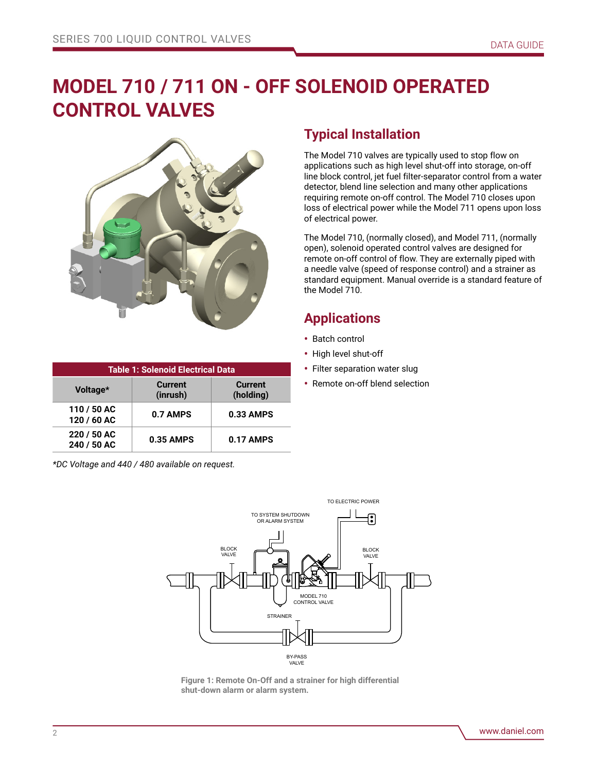## **MODEL 710 / 711 ON - OFF SOLENOID OPERATED CONTROL VALVES**



| <b>Table 1: Solenoid Electrical Data</b> |                            |                             |  |  |  |  |  |  |  |  |
|------------------------------------------|----------------------------|-----------------------------|--|--|--|--|--|--|--|--|
| Voltage*                                 | <b>Current</b><br>(inrush) | <b>Current</b><br>(holding) |  |  |  |  |  |  |  |  |
| 110 / 50 AC<br>120 / 60 AC               | 0.7 AMPS                   | $0.33$ AMPS                 |  |  |  |  |  |  |  |  |
| 220 / 50 AC<br>240 / 50 AC               | 0.35 AMPS                  | $0.17$ AMPS                 |  |  |  |  |  |  |  |  |

*\*DC Voltage and 440 / 480 available on request.*

## **Typical Installation**

The Model 710 valves are typically used to stop flow on applications such as high level shut-off into storage, on-off line block control, jet fuel filter-separator control from a water detector, blend line selection and many other applications requiring remote on-off control. The Model 710 closes upon loss of electrical power while the Model 711 opens upon loss of electrical power.

The Model 710, (normally closed), and Model 711, (normally open), solenoid operated control valves are designed for remote on-off control of flow. They are externally piped with a needle valve (speed of response control) and a strainer as standard equipment. Manual override is a standard feature of the Model 710.

## **Applications**

- Batch control
- High level shut-off
- Filter separation water slug
- Remote on-off blend selection



**Figure 1: Remote On-Off and a strainer for high differential shut-down alarm or alarm system.**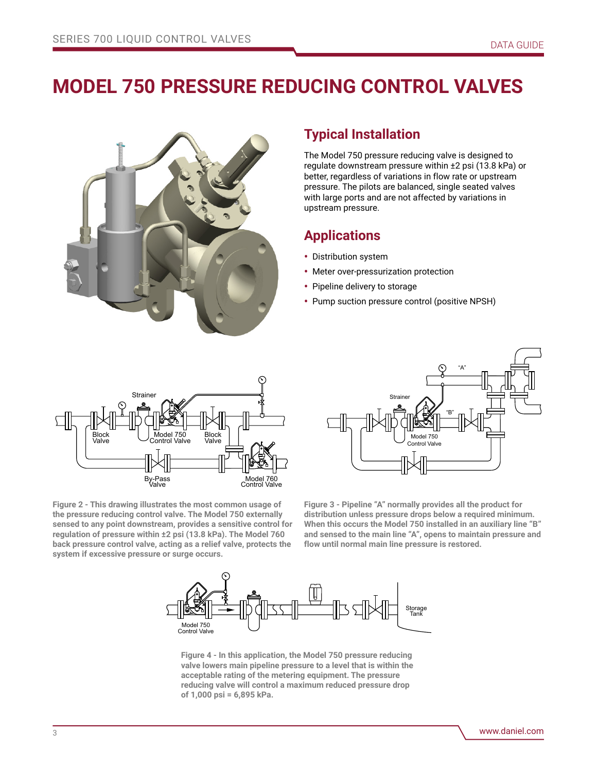## **MODEL 750 PRESSURE REDUCING CONTROL VALVES**



### **Typical Installation**

The Model 750 pressure reducing valve is designed to regulate downstream pressure within ±2 psi (13.8 kPa) or better, regardless of variations in flow rate or upstream pressure. The pilots are balanced, single seated valves with large ports and are not affected by variations in upstream pressure.

## **Applications**

- Distribution system
- Meter over-pressurization protection
- Pipeline delivery to storage
- Pump suction pressure control (positive NPSH)



**Figure 2 - This drawing illustrates the most common usage of the pressure reducing control valve. The Model 750 externally sensed to any point downstream, provides a sensitive control for regulation of pressure within ±2 psi (13.8 kPa). The Model 760 back pressure control valve, acting as a relief valve, protects the system if excessive pressure or surge occurs.**

Model 750 Control Valve "A" "B" Straine

**Figure 3 - Pipeline "A" normally provides all the product for distribution unless pressure drops below a required minimum. When this occurs the Model 750 installed in an auxiliary line "B" and sensed to the main line "A", opens to maintain pressure and flow until normal main line pressure is restored.**



**Figure 4 - In this application, the Model 750 pressure reducing valve lowers main pipeline pressure to a level that is within the acceptable rating of the metering equipment. The pressure reducing valve will control a maximum reduced pressure drop of 1,000 psi = 6,895 kPa.**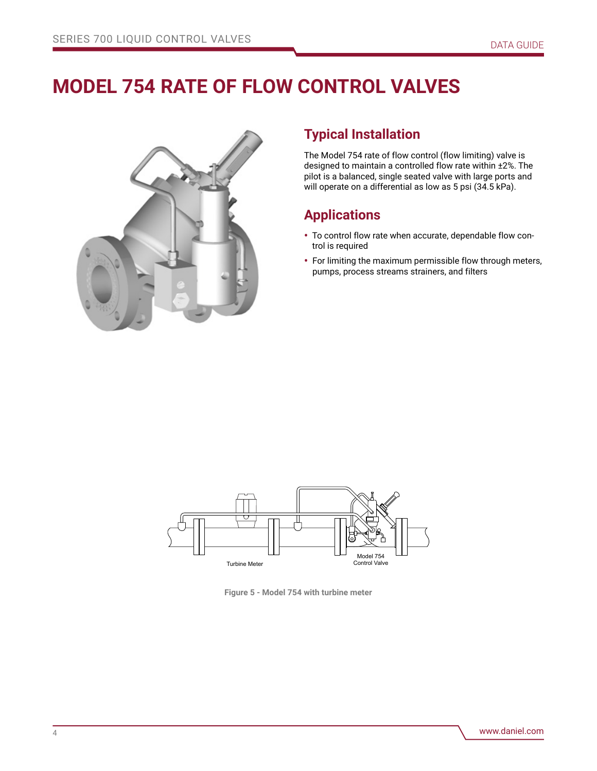## **MODEL 754 RATE OF FLOW CONTROL VALVES**



## **Typical Installation**

The Model 754 rate of flow control (flow limiting) valve is designed to maintain a controlled flow rate within ±2%. The pilot is a balanced, single seated valve with large ports and will operate on a differential as low as 5 psi (34.5 kPa).

## **Applications**

- To control flow rate when accurate, dependable flow control is required
- For limiting the maximum permissible flow through meters, pumps, process streams strainers, and filters



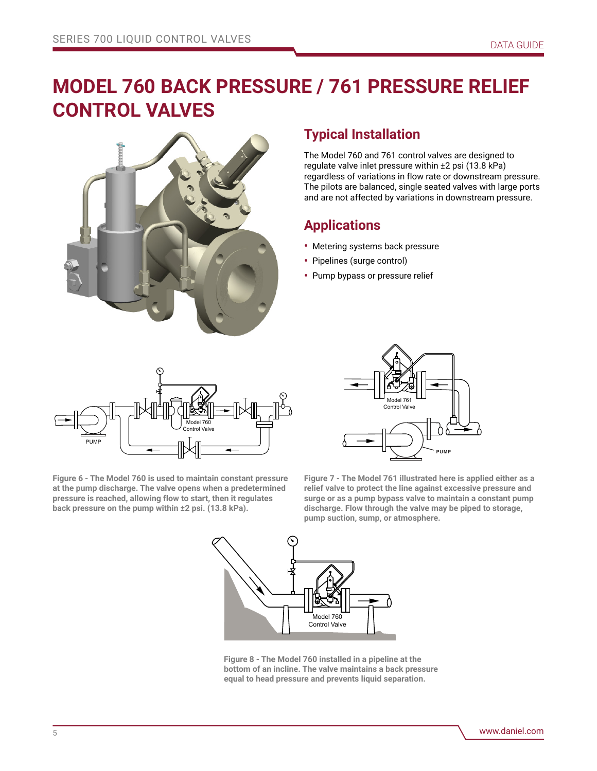## **MODEL 760 BACK PRESSURE / 761 PRESSURE RELIEF CONTROL VALVES**



## **Typical Installation**

The Model 760 and 761 control valves are designed to regulate valve inlet pressure within ±2 psi (13.8 kPa) regardless of variations in flow rate or downstream pressure. The pilots are balanced, single seated valves with large ports and are not affected by variations in downstream pressure.

## **Applications**

- Metering systems back pressure
- Pipelines (surge control)
- Pump bypass or pressure relief



**Figure 6 - The Model 760 is used to maintain constant pressure at the pump discharge. The valve opens when a predetermined pressure is reached, allowing flow to start, then it regulates back pressure on the pump within ±2 psi. (13.8 kPa).**



**Figure 7 - The Model 761 illustrated here is applied either as a relief valve to protect the line against excessive pressure and surge or as a pump bypass valve to maintain a constant pump discharge. Flow through the valve may be piped to storage, pump suction, sump, or atmosphere.**



**Figure 8 - The Model 760 installed in a pipeline at the bottom of an incline. The valve maintains a back pressure equal to head pressure and prevents liquid separation.**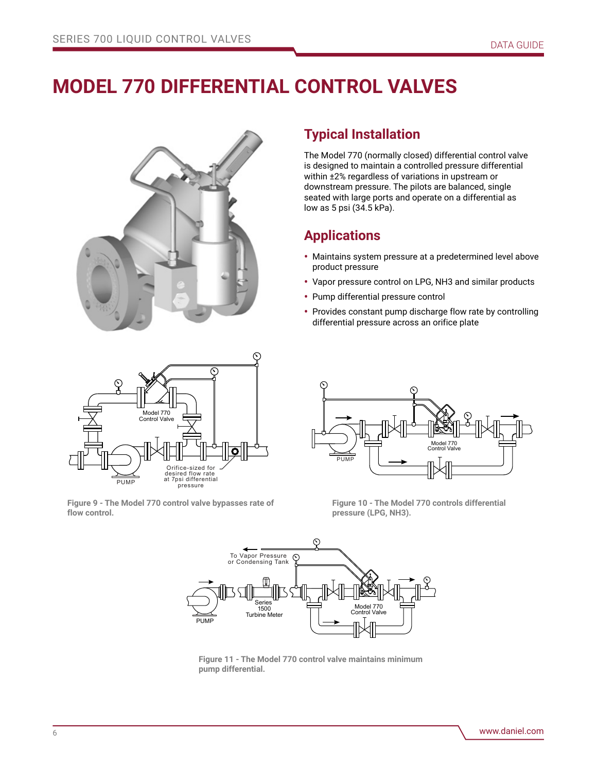## **MODEL 770 DIFFERENTIAL CONTROL VALVES**



## **Typical Installation**

The Model 770 (normally closed) differential control valve is designed to maintain a controlled pressure differential within ±2% regardless of variations in upstream or downstream pressure. The pilots are balanced, single seated with large ports and operate on a differential as low as 5 psi (34.5 kPa).

## **Applications**

- Maintains system pressure at a predetermined level above product pressure
- Vapor pressure control on LPG, NH3 and similar products
- Pump differential pressure control
- Provides constant pump discharge flow rate by controlling differential pressure across an orifice plate



**Figure 9 - The Model 770 control valve bypasses rate of flow control.**



**Figure 10 - The Model 770 controls differential pressure (LPG, NH3).**



**Figure 11 - The Model 770 control valve maintains minimum pump differential.**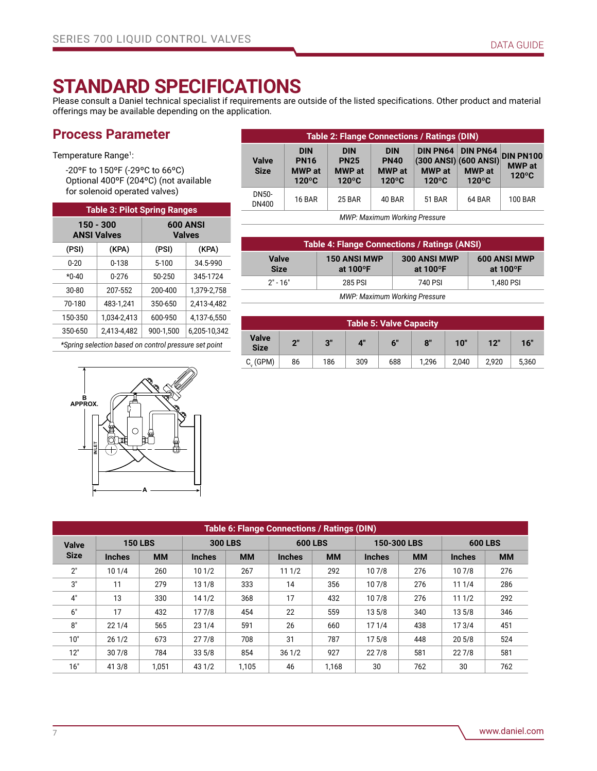## **STANDARD SPECIFICATIONS**

Please consult a Daniel technical specialist if requirements are outside of the listed specifications. Other product and material offerings may be available depending on the application.

## **Process Parameter**

Temperature Range<sup>1</sup>:

-20ºF to 150ºF (-29ºC to 66ºC) Optional 400ºF (204ºC) (not available for solenoid operated valves)

| <b>Table 3: Pilot Spring Ranges</b> |                                                           |                                  |             |  |  |  |  |  |  |  |  |
|-------------------------------------|-----------------------------------------------------------|----------------------------------|-------------|--|--|--|--|--|--|--|--|
|                                     | $150 - 300$<br><b>ANSI Valves</b>                         | <b>600 ANSI</b><br><b>Valves</b> |             |  |  |  |  |  |  |  |  |
| (PSI)                               | (KPA)                                                     | (PSI)                            | (KPA)       |  |  |  |  |  |  |  |  |
| $0 - 20$                            | $0 - 138$                                                 | $5 - 100$                        | 34.5-990    |  |  |  |  |  |  |  |  |
| $*0-40$                             | $0 - 276$                                                 | 50-250                           | 345-1724    |  |  |  |  |  |  |  |  |
| 30-80                               | 207-552                                                   | 200-400                          | 1.379-2.758 |  |  |  |  |  |  |  |  |
| 70-180                              | 483-1.241                                                 | 350-650                          | 2.413-4.482 |  |  |  |  |  |  |  |  |
| 150-350                             | 1.034-2.413                                               | 600-950                          | 4.137-6.550 |  |  |  |  |  |  |  |  |
| 350-650                             | 2.413-4.482                                               | 6,205-10,342<br>900-1.500        |             |  |  |  |  |  |  |  |  |
|                                     | $*Conring$ coloction becad on control processes act point |                                  |             |  |  |  |  |  |  |  |  |

*\*Spring selection based on control pressure set point*



| <b>Table 2: Flange Connections / Ratings (DIN)</b> |                                                               |                                                               |                                                               |                                                                                  |                                  |                                                      |  |  |  |  |  |
|----------------------------------------------------|---------------------------------------------------------------|---------------------------------------------------------------|---------------------------------------------------------------|----------------------------------------------------------------------------------|----------------------------------|------------------------------------------------------|--|--|--|--|--|
| <b>Valve</b><br><b>Size</b>                        | <b>DIN</b><br><b>PN16</b><br><b>MWP</b> at<br>$120^{\circ}$ C | <b>DIN</b><br><b>PN25</b><br><b>MWP</b> at<br>$120^{\circ}$ C | <b>DIN</b><br><b>PN40</b><br><b>MWP</b> at<br>$120^{\circ}$ C | DIN PNG4   DIN PNG4<br>(300 ANSI) (600 ANSI)<br><b>MWP</b> at<br>$120^{\circ}$ C | <b>MWP</b> at<br>$120^{\circ}$ C | <b>DIN PN100</b><br><b>MWP</b> at<br>$120^{\circ}$ C |  |  |  |  |  |
| DN50-<br>DN400                                     | <b>16 BAR</b>                                                 | <b>25 BAR</b>                                                 | 40 BAR                                                        | <b>51 BAR</b>                                                                    | 64 BAR                           | 100 BAR                                              |  |  |  |  |  |

*MWP: Maximum Working Pressure*

| <b>Table 4: Flange Connections / Ratings (ANSI)</b> |                                           |                                    |                                           |  |  |  |  |  |  |  |
|-----------------------------------------------------|-------------------------------------------|------------------------------------|-------------------------------------------|--|--|--|--|--|--|--|
| <b>Valve</b><br><b>Size</b>                         | <b>150 ANSI MWP</b><br>at $100^{\circ}$ F | 300 ANSI MWP<br>at $100^{\circ}$ F | <b>600 ANSI MWP</b><br>at $100^{\circ}$ F |  |  |  |  |  |  |  |
| $2" - 16"$                                          | 285 PSI                                   | 740 PSI                            | 1.480 PSI                                 |  |  |  |  |  |  |  |
| <b>MWP: Maximum Working Pressure</b>                |                                           |                                    |                                           |  |  |  |  |  |  |  |

| <b>Table 5: Valve Capacity</b> |          |     |             |     |       |       |       |       |  |  |  |  |
|--------------------------------|----------|-----|-------------|-----|-------|-------|-------|-------|--|--|--|--|
| <b>Valve</b><br><b>Size</b>    | 2"<br>3" |     | $4^{\circ}$ | 6"  |       | 10"   | 12"   | 16"   |  |  |  |  |
| $C_v$ (GPM)                    | 86       | 186 | 309         | 688 | 1.296 | 2,040 | 2,920 | 5.360 |  |  |  |  |

| Table 6: Flange Connections / Ratings (DIN) |               |                |               |                |               |                |                   |             |                |           |  |  |
|---------------------------------------------|---------------|----------------|---------------|----------------|---------------|----------------|-------------------|-------------|----------------|-----------|--|--|
| <b>Valve</b>                                |               | <b>150 LBS</b> |               | <b>300 LBS</b> |               | <b>600 LBS</b> |                   | 150-300 LBS | <b>600 LBS</b> |           |  |  |
| <b>Size</b>                                 | <b>Inches</b> | <b>MM</b>      | <b>Inches</b> | <b>MM</b>      | <b>Inches</b> | <b>MM</b>      | <b>Inches</b>     | <b>MM</b>   | <b>Inches</b>  | <b>MM</b> |  |  |
| 2"                                          | 101/4         | 260            | 101/2         | 267            | 111/2         | 292            | 107/8             | 276         | 107/8          | 276       |  |  |
| 3"                                          | 11            | 279            | 131/8         | 333            | 14            | 356            | 107/8             | 276         | 111/4          | 286       |  |  |
| 4"                                          | 13            | 330            | 14 1/2        | 368            | 17            | 432            | 107/8             | 276         | 111/2          | 292       |  |  |
| 6"                                          | 17            | 432            | 177/8         | 454            | 22            | 559            | 13 5/8            | 340         | 13 5/8         | 346       |  |  |
| 8"                                          | 221/4         | 565            | 231/4         | 591            | 26            | 660            | 171/4             | 438         | 173/4          | 451       |  |  |
| 10"                                         | 261/2         | 673            | 277/8         | 708            | 31            | 787            | 17 <sub>5/8</sub> | 448         | 20 5/8         | 524       |  |  |
| 12"                                         | 307/8         | 784            | 335/8         | 854            | 361/2         | 927            | 227/8             | 581         | 227/8          | 581       |  |  |
| 16"                                         | 41 3/8        | 1,051          | 43 1/2        | 1,105          | 46            | 1,168          | 30                | 762         | 30             | 762       |  |  |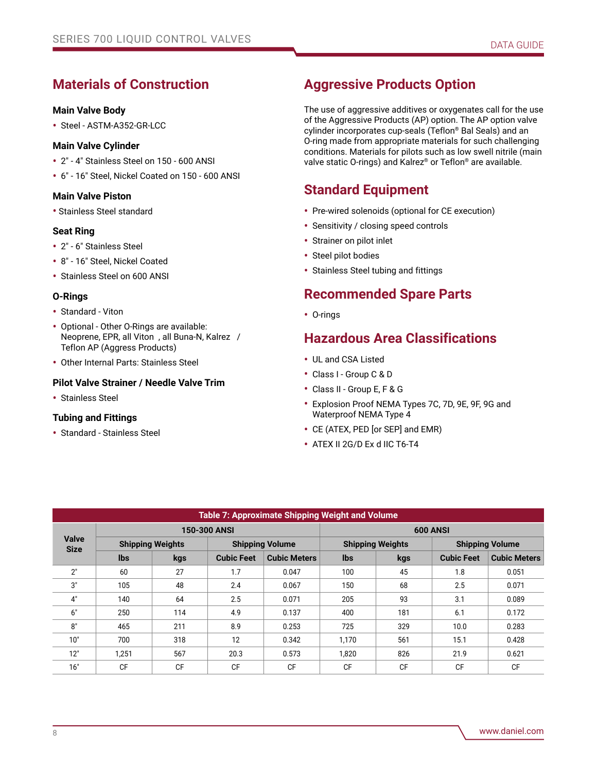## **Materials of Construction**

#### **Main Valve Body**

• Steel - ASTM-A352-GR-LCC

#### **Main Valve Cylinder**

- 2" 4" Stainless Steel on 150 600 ANSI
- 6" 16" Steel, Nickel Coated on 150 600 ANSI

#### **Main Valve Piston**

• Stainless Steel standard

#### **Seat Ring**

- 2" 6" Stainless Steel
- 8" 16" Steel, Nickel Coated
- Stainless Steel on 600 ANSI

#### **O-Rings**

- Standard Viton
- Optional Other O-Rings are available: Neoprene, EPR, all Viton , all Buna-N, Kalrez / Teflon AP (Aggress Products)
- Other Internal Parts: Stainless Steel

#### **Pilot Valve Strainer / Needle Valve Trim**

• Stainless Steel

#### **Tubing and Fittings**

• Standard - Stainless Steel

### **Aggressive Products Option**

The use of aggressive additives or oxygenates call for the use of the Aggressive Products (AP) option. The AP option valve cylinder incorporates cup-seals (Teflon® Bal Seals) and an O-ring made from appropriate materials for such challenging conditions. Materials for pilots such as low swell nitrile (main valve static O-rings) and Kalrez® or Teflon® are available.

### **Standard Equipment**

- Pre-wired solenoids (optional for CE execution)
- Sensitivity / closing speed controls
- Strainer on pilot inlet
- Steel pilot bodies
- Stainless Steel tubing and fittings

### **Recommended Spare Parts**

• O-rings

### **Hazardous Area Classifications**

- UL and CSA Listed
- Class I Group C & D
- Class II Group E, F & G
- Explosion Proof NEMA Types 7C, 7D, 9E, 9F, 9G and Waterproof NEMA Type 4
- CE (ATEX, PED [or SEP] and EMR)
- ATEX II 2G/D Ex d IIC T6-T4

| Table 7: Approximate Shipping Weight and Volume |                         |                     |                   |                        |                         |           |                        |                     |  |  |  |  |
|-------------------------------------------------|-------------------------|---------------------|-------------------|------------------------|-------------------------|-----------|------------------------|---------------------|--|--|--|--|
|                                                 |                         | <b>150-300 ANSI</b> |                   |                        | <b>600 ANSI</b>         |           |                        |                     |  |  |  |  |
| <b>Valve</b><br><b>Size</b>                     | <b>Shipping Weights</b> |                     |                   | <b>Shipping Volume</b> | <b>Shipping Weights</b> |           | <b>Shipping Volume</b> |                     |  |  |  |  |
|                                                 | <b>lbs</b>              | kgs                 | <b>Cubic Feet</b> | <b>Cubic Meters</b>    |                         | kgs       | <b>Cubic Feet</b>      | <b>Cubic Meters</b> |  |  |  |  |
| 2"                                              | 60                      | 27                  | 1.7               | 0.047                  | 100                     | 45        | 1.8                    | 0.051               |  |  |  |  |
| 3"                                              | 105                     | 48                  | 2.4               | 0.067                  | 150                     | 68        | 2.5                    | 0.071               |  |  |  |  |
| 4"                                              | 140                     | 64                  | 2.5               | 0.071                  | 205<br>93               |           | 3.1                    | 0.089               |  |  |  |  |
| 6"                                              | 250                     | 114                 | 4.9               | 0.137                  | 181<br>400              |           | 6.1                    | 0.172               |  |  |  |  |
| 8"                                              | 465                     | 211                 | 8.9               | 0.253                  | 725                     | 329       | 10.0                   | 0.283               |  |  |  |  |
| 10"                                             | 700                     | 318                 | 12                | 0.342                  | 1,170                   | 561       | 15.1                   | 0.428               |  |  |  |  |
| 12"                                             | 1.251                   | 567                 | 20.3              | 0.573                  | 1.820                   | 826       | 21.9                   | 0.621               |  |  |  |  |
| 16"                                             | <b>CF</b>               | <b>CF</b>           | <b>CF</b>         | <b>CF</b>              | CF                      | <b>CF</b> | <b>CF</b>              | CF                  |  |  |  |  |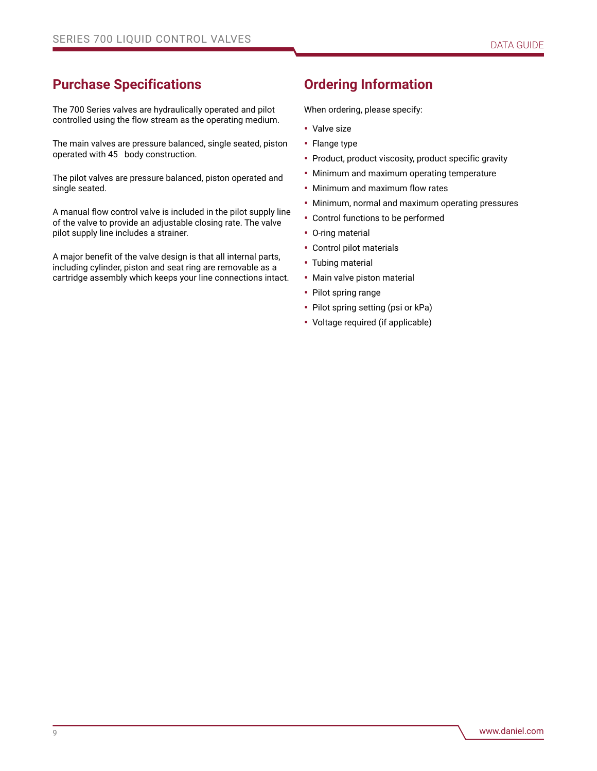## **Purchase Specifications**

The 700 Series valves are hydraulically operated and pilot controlled using the flow stream as the operating medium.

The main valves are pressure balanced, single seated, piston operated with 45 body construction.

The pilot valves are pressure balanced, piston operated and single seated.

A manual flow control valve is included in the pilot supply line of the valve to provide an adjustable closing rate. The valve pilot supply line includes a strainer.

A major benefit of the valve design is that all internal parts, including cylinder, piston and seat ring are removable as a cartridge assembly which keeps your line connections intact.

## **Ordering Information**

When ordering, please specify:

- Valve size
- Flange type
- Product, product viscosity, product specific gravity
- Minimum and maximum operating temperature
- Minimum and maximum flow rates
- Minimum, normal and maximum operating pressures
- Control functions to be performed
- O-ring material
- Control pilot materials
- Tubing material
- Main valve piston material
- Pilot spring range
- Pilot spring setting (psi or kPa)
- Voltage required (if applicable)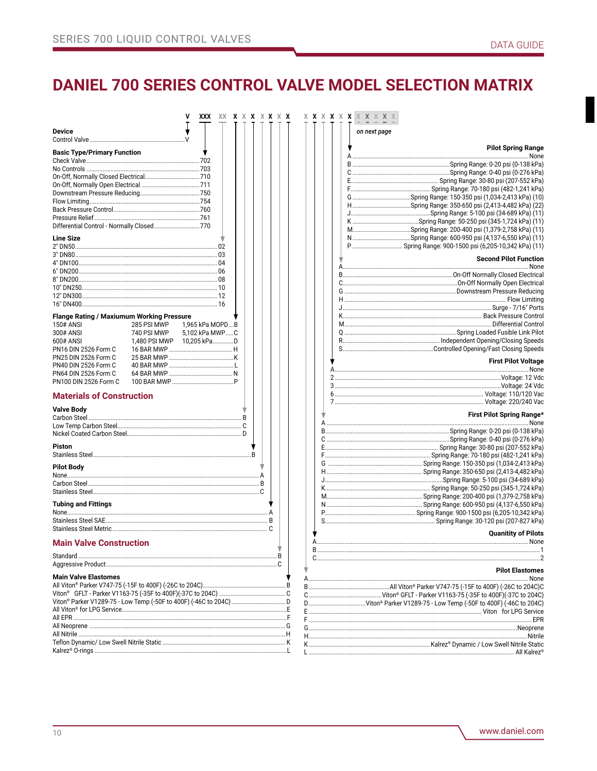## DANIEL 700 SERIES CONTROL VALVE MODEL SELECTION MATRIX

| XXX.<br>XX.                                                                      | <b>X X X X X X X</b> | <b>X X X X X X X X X X X</b>                                     |
|----------------------------------------------------------------------------------|----------------------|------------------------------------------------------------------|
| <b>Device</b>                                                                    |                      | on next page                                                     |
| <b>Basic Type/Primary Function</b>                                               |                      | <b>Pilot Spring Range</b>                                        |
|                                                                                  |                      |                                                                  |
|                                                                                  |                      |                                                                  |
|                                                                                  |                      |                                                                  |
|                                                                                  |                      |                                                                  |
|                                                                                  |                      |                                                                  |
|                                                                                  |                      |                                                                  |
|                                                                                  |                      |                                                                  |
|                                                                                  |                      |                                                                  |
| Differential Control - Normally Closed770                                        |                      |                                                                  |
| <b>Line Size</b>                                                                 |                      |                                                                  |
|                                                                                  |                      | P  Spring Range: 900-1500 psi (6,205-10,342 kPa) (11)            |
|                                                                                  |                      |                                                                  |
|                                                                                  |                      | <b>Second Pilot Function</b>                                     |
|                                                                                  |                      |                                                                  |
|                                                                                  |                      |                                                                  |
|                                                                                  |                      |                                                                  |
|                                                                                  |                      |                                                                  |
|                                                                                  |                      |                                                                  |
|                                                                                  |                      |                                                                  |
| <b>Flange Rating / Maxiumum Working Pressure</b>                                 |                      |                                                                  |
| <b>150# ANSI</b><br>285 PSI MWP<br>1,965 kPa MOPDB                               |                      |                                                                  |
| 740 PSI MWP<br>300# ANSI<br>5,102 kPa MWPC                                       |                      |                                                                  |
| 600# ANSI<br>1.480 PSI MWP   10.205 kPaD                                         |                      |                                                                  |
| PN16 DIN 2526 Form C                                                             |                      |                                                                  |
| PN25 DIN 2526 Form C                                                             |                      |                                                                  |
| PN40 DIN 2526 Form C                                                             |                      | <b>First Pilot Voltage</b>                                       |
| PN64 DIN 2526 Form C                                                             |                      |                                                                  |
| PN100 DIN 2526 Form C                                                            |                      |                                                                  |
|                                                                                  |                      |                                                                  |
| <b>Materials of Construction</b>                                                 |                      |                                                                  |
|                                                                                  |                      |                                                                  |
| <b>Valve Body</b>                                                                |                      | First Pilot Spring Range <sup>y</sup>                            |
|                                                                                  |                      |                                                                  |
|                                                                                  |                      |                                                                  |
|                                                                                  |                      |                                                                  |
| <b>Piston</b>                                                                    |                      |                                                                  |
|                                                                                  |                      |                                                                  |
|                                                                                  |                      |                                                                  |
| <b>Pilot Body</b>                                                                |                      |                                                                  |
|                                                                                  |                      |                                                                  |
|                                                                                  |                      |                                                                  |
|                                                                                  |                      |                                                                  |
|                                                                                  |                      |                                                                  |
| <b>Tubing and Fittings</b>                                                       |                      |                                                                  |
|                                                                                  |                      |                                                                  |
|                                                                                  |                      |                                                                  |
|                                                                                  |                      | <b>Quanitity of Pilots</b>                                       |
| <b>Main Valve Construction</b>                                                   |                      |                                                                  |
|                                                                                  |                      |                                                                  |
|                                                                                  |                      |                                                                  |
|                                                                                  |                      | <b>Pilot Elastomes</b>                                           |
| <b>Main Valve Elastomes</b>                                                      |                      | . None                                                           |
|                                                                                  |                      |                                                                  |
| Viton® GFLT - Parker V1163-75 (-35F to 400F)(-37C to 204C) ……………………………………………………… |                      |                                                                  |
|                                                                                  |                      | D Viton® Parker V1289-75 - Low Temp (-50F to 400F) (-46C to 204C |
| All Viton® for LPG Service…………………………………………………………………………………………E                    |                      |                                                                  |
|                                                                                  |                      |                                                                  |
|                                                                                  |                      |                                                                  |
|                                                                                  |                      |                                                                  |
|                                                                                  |                      |                                                                  |
|                                                                                  |                      |                                                                  |
|                                                                                  |                      |                                                                  |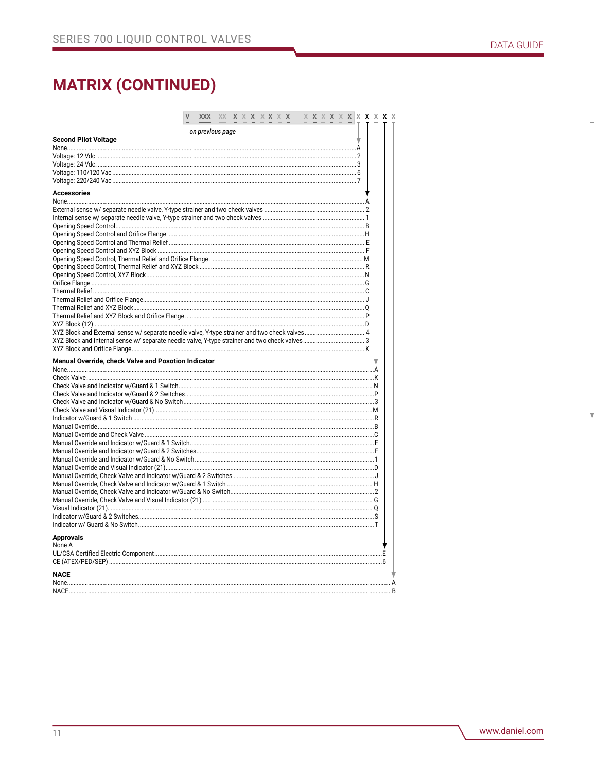|                                                     |                  | XX | X X X X X X X |  |  |  | X X X |  | X |  | <b>X</b> X <b>X</b> X |
|-----------------------------------------------------|------------------|----|---------------|--|--|--|-------|--|---|--|-----------------------|
|                                                     | on previous page |    |               |  |  |  |       |  |   |  |                       |
| <b>Second Pilot Voltage</b>                         |                  |    |               |  |  |  |       |  |   |  |                       |
|                                                     |                  |    |               |  |  |  |       |  |   |  |                       |
|                                                     |                  |    |               |  |  |  |       |  |   |  |                       |
|                                                     |                  |    |               |  |  |  |       |  |   |  |                       |
|                                                     |                  |    |               |  |  |  |       |  |   |  |                       |
| <b>Accessories</b>                                  |                  |    |               |  |  |  |       |  |   |  |                       |
|                                                     |                  |    |               |  |  |  |       |  |   |  |                       |
|                                                     |                  |    |               |  |  |  |       |  |   |  |                       |
|                                                     |                  |    |               |  |  |  |       |  |   |  |                       |
|                                                     |                  |    |               |  |  |  |       |  |   |  |                       |
|                                                     |                  |    |               |  |  |  |       |  |   |  |                       |
|                                                     |                  |    |               |  |  |  |       |  |   |  |                       |
|                                                     |                  |    |               |  |  |  |       |  |   |  |                       |
|                                                     |                  |    |               |  |  |  |       |  |   |  |                       |
|                                                     |                  |    |               |  |  |  |       |  |   |  |                       |
|                                                     |                  |    |               |  |  |  |       |  |   |  |                       |
|                                                     |                  |    |               |  |  |  |       |  |   |  |                       |
|                                                     |                  |    |               |  |  |  |       |  |   |  |                       |
|                                                     |                  |    |               |  |  |  |       |  |   |  |                       |
|                                                     |                  |    |               |  |  |  |       |  |   |  |                       |
|                                                     |                  |    |               |  |  |  |       |  |   |  |                       |
|                                                     |                  |    |               |  |  |  |       |  |   |  |                       |
|                                                     |                  |    |               |  |  |  |       |  |   |  |                       |
| Manual Override, check Valve and Posotion Indicator |                  |    |               |  |  |  |       |  |   |  |                       |
|                                                     |                  |    |               |  |  |  |       |  |   |  |                       |
|                                                     |                  |    |               |  |  |  |       |  |   |  |                       |
|                                                     |                  |    |               |  |  |  |       |  |   |  |                       |
|                                                     |                  |    |               |  |  |  |       |  |   |  |                       |
|                                                     |                  |    |               |  |  |  |       |  |   |  |                       |
|                                                     |                  |    |               |  |  |  |       |  |   |  |                       |
|                                                     |                  |    |               |  |  |  |       |  |   |  |                       |
|                                                     |                  |    |               |  |  |  |       |  |   |  |                       |
|                                                     |                  |    |               |  |  |  |       |  |   |  |                       |
|                                                     |                  |    |               |  |  |  |       |  |   |  |                       |
|                                                     |                  |    |               |  |  |  |       |  |   |  |                       |
|                                                     |                  |    |               |  |  |  |       |  |   |  |                       |
|                                                     |                  |    |               |  |  |  |       |  |   |  |                       |
|                                                     |                  |    |               |  |  |  |       |  |   |  |                       |
|                                                     |                  |    |               |  |  |  |       |  |   |  |                       |
|                                                     |                  |    |               |  |  |  |       |  |   |  |                       |
|                                                     |                  |    |               |  |  |  |       |  |   |  |                       |
|                                                     |                  |    |               |  |  |  |       |  |   |  |                       |
| <b>Approvals</b><br>None A                          |                  |    |               |  |  |  |       |  |   |  |                       |
|                                                     |                  |    |               |  |  |  |       |  |   |  |                       |
|                                                     |                  |    |               |  |  |  |       |  |   |  |                       |
|                                                     |                  |    |               |  |  |  |       |  |   |  |                       |
| <b>NACE</b>                                         |                  |    |               |  |  |  |       |  |   |  |                       |
| <b>NACE</b>                                         |                  |    |               |  |  |  |       |  |   |  |                       |